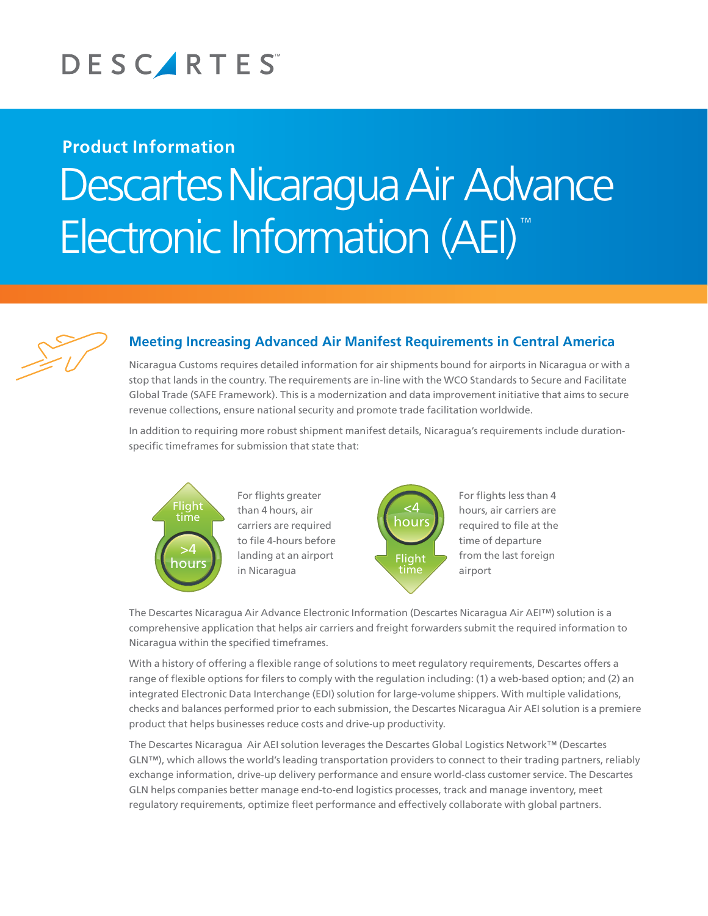

## **Product Information** Descartes Nicaragua Air Advance Electronic Information (AEI)™



## **Meeting Increasing Advanced Air Manifest Requirements in Central America**

Nicaragua Customs requires detailed information for air shipments bound for airports in Nicaragua or with a stop that lands in the country. The requirements are in-line with the WCO Standards to Secure and Facilitate Global Trade (SAFE Framework). This is a modernization and data improvement initiative that aims to secure revenue collections, ensure national security and promote trade facilitation worldwide.

In addition to requiring more robust shipment manifest details, Nicaragua's requirements include durationspecific timeframes for submission that state that:



>4 landing at an airport in Nicaragua than 4 hours, air charrent cars, an<br>carriers are required For flights greater to file 4-hours before



For flights less than 4 hours, air carriers are required to file at the time of departure from the last foreign airport

The Descartes Nicaragua Air Advance Electronic Information (Descartes Nicaragua Air AEI™) solution is a comprehensive application that helps air carriers and freight forwarders submit the required information to Nicaragua within the specified timeframes.

With a history of offering a flexible range of solutions to meet regulatory requirements, Descartes offers a range of flexible options for filers to comply with the regulation including: (1) a web-based option; and (2) an integrated Electronic Data Interchange (EDI) solution for large-volume shippers. With multiple validations, checks and balances performed prior to each submission, the Descartes Nicaragua Air AEI solution is a premiere product that helps businesses reduce costs and drive-up productivity.

The Descartes Nicaragua Air AEI solution leverages the Descartes Global Logistics Network™ (Descartes GLN™), which allows the world's leading transportation providers to connect to their trading partners, reliably exchange information, drive-up delivery performance and ensure world-class customer service. The Descartes GLN helps companies better manage end-to-end logistics processes, track and manage inventory, meet regulatory requirements, optimize fleet performance and effectively collaborate with global partners.